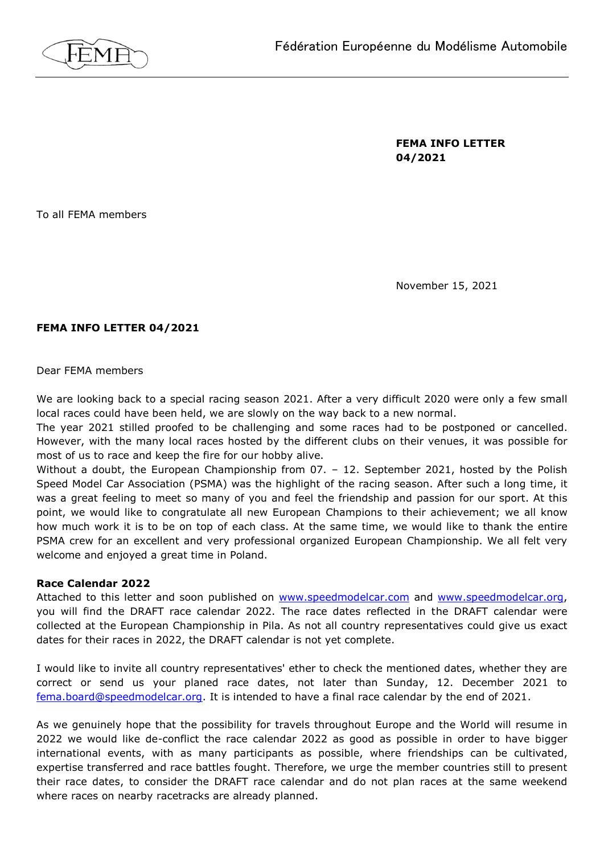

**FEMA INFO LETTER 04/2021**

To all FEMA members

November 15, 2021

# **FEMA INFO LETTER 04/2021**

Dear FEMA members

We are looking back to a special racing season 2021. After a very difficult 2020 were only a few small local races could have been held, we are slowly on the way back to a new normal.

The year 2021 stilled proofed to be challenging and some races had to be postponed or cancelled. However, with the many local races hosted by the different clubs on their venues, it was possible for most of us to race and keep the fire for our hobby alive.

Without a doubt, the European Championship from 07. - 12. September 2021, hosted by the Polish Speed Model Car Association (PSMA) was the highlight of the racing season. After such a long time, it was a great feeling to meet so many of you and feel the friendship and passion for our sport. At this point, we would like to congratulate all new European Champions to their achievement; we all know how much work it is to be on top of each class. At the same time, we would like to thank the entire PSMA crew for an excellent and very professional organized European Championship. We all felt very welcome and enjoyed a great time in Poland.

## **Race Calendar 2022**

Attached to this letter and soon published on [www.speedmodelcar.com](http://www.speedmodelcar.com/) and [www.speedmodelcar.org,](http://www.speedmodelcar.org/) you will find the DRAFT race calendar 2022. The race dates reflected in the DRAFT calendar were collected at the European Championship in Pila. As not all country representatives could give us exact dates for their races in 2022, the DRAFT calendar is not yet complete.

I would like to invite all country representatives' ether to check the mentioned dates, whether they are correct or send us your planed race dates, not later than Sunday, 12. December 2021 to [fema.board@speedmodelcar.org.](mailto:fema.board@speedmodelcar.org) It is intended to have a final race calendar by the end of 2021.

As we genuinely hope that the possibility for travels throughout Europe and the World will resume in 2022 we would like de-conflict the race calendar 2022 as good as possible in order to have bigger international events, with as many participants as possible, where friendships can be cultivated, expertise transferred and race battles fought. Therefore, we urge the member countries still to present their race dates, to consider the DRAFT race calendar and do not plan races at the same weekend where races on nearby racetracks are already planned.